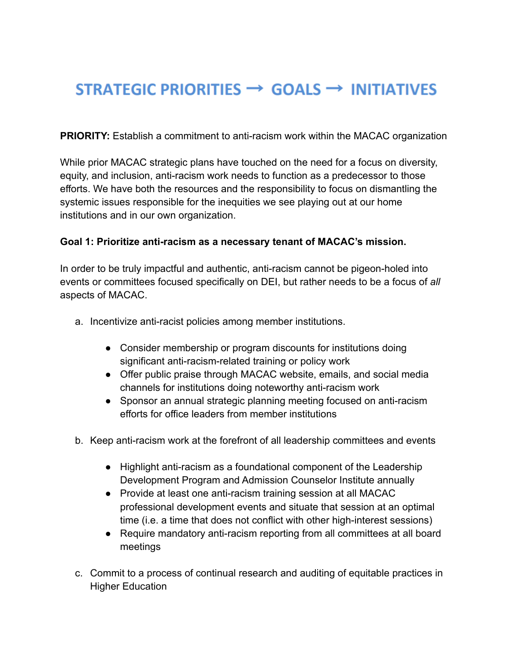## STRATEGIC PRIORITIES  $\rightarrow$  GOALS  $\rightarrow$  INITIATIVES

**PRIORITY:** Establish a commitment to anti-racism work within the MACAC organization

While prior MACAC strategic plans have touched on the need for a focus on diversity, equity, and inclusion, anti-racism work needs to function as a predecessor to those efforts. We have both the resources and the responsibility to focus on dismantling the systemic issues responsible for the inequities we see playing out at our home institutions and in our own organization.

## **Goal 1: Prioritize anti-racism as a necessary tenant of MACAC's mission.**

In order to be truly impactful and authentic, anti-racism cannot be pigeon-holed into events or committees focused specifically on DEI, but rather needs to be a focus of *all* aspects of MACAC.

- a. Incentivize anti-racist policies among member institutions.
	- Consider membership or program discounts for institutions doing significant anti-racism-related training or policy work
	- Offer public praise through MACAC website, emails, and social media channels for institutions doing noteworthy anti-racism work
	- Sponsor an annual strategic planning meeting focused on anti-racism efforts for office leaders from member institutions
- b. Keep anti-racism work at the forefront of all leadership committees and events
	- Highlight anti-racism as a foundational component of the Leadership Development Program and Admission Counselor Institute annually
	- Provide at least one anti-racism training session at all MACAC professional development events and situate that session at an optimal time (i.e. a time that does not conflict with other high-interest sessions)
	- Require mandatory anti-racism reporting from all committees at all board meetings
- c. Commit to a process of continual research and auditing of equitable practices in Higher Education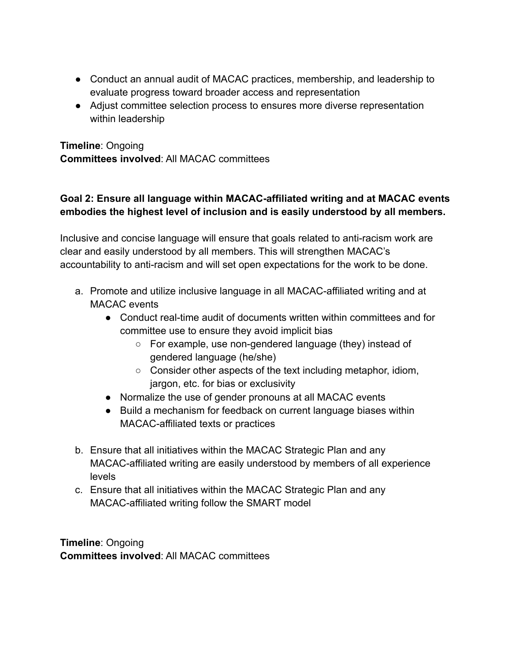- Conduct an annual audit of MACAC practices, membership, and leadership to evaluate progress toward broader access and representation
- Adjust committee selection process to ensures more diverse representation within leadership

**Timeline**: Ongoing **Committees involved**: All MACAC committees

## **Goal 2: Ensure all language within MACAC-affiliated writing and at MACAC events embodies the highest level of inclusion and is easily understood by all members.**

Inclusive and concise language will ensure that goals related to anti-racism work are clear and easily understood by all members. This will strengthen MACAC's accountability to anti-racism and will set open expectations for the work to be done.

- a. Promote and utilize inclusive language in all MACAC-affiliated writing and at MACAC events
	- Conduct real-time audit of documents written within committees and for committee use to ensure they avoid implicit bias
		- For example, use non-gendered language (they) instead of gendered language (he/she)
		- Consider other aspects of the text including metaphor, idiom, jargon, etc. for bias or exclusivity
	- Normalize the use of gender pronouns at all MACAC events
	- Build a mechanism for feedback on current language biases within MACAC-affiliated texts or practices
- b. Ensure that all initiatives within the MACAC Strategic Plan and any MACAC-affiliated writing are easily understood by members of all experience levels
- c. Ensure that all initiatives within the MACAC Strategic Plan and any MACAC-affiliated writing follow the SMART model

**Timeline**: Ongoing **Committees involved**: All MACAC committees